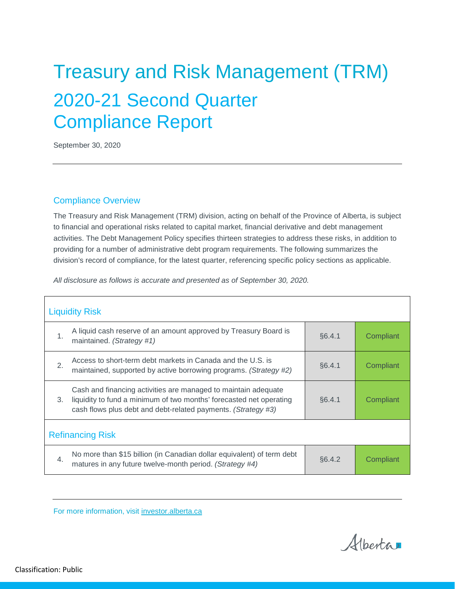# Treasury and Risk Management (TRM) 2020-21 Second Quarter Compliance Report

September 30, 2020

#### Compliance Overview

The Treasury and Risk Management (TRM) division, acting on behalf of the Province of Alberta, is subject to financial and operational risks related to capital market, financial derivative and debt management activities. The Debt Management Policy specifies thirteen strategies to address these risks, in addition to providing for a number of administrative debt program requirements. The following summarizes the division's record of compliance, for the latest quarter, referencing specific policy sections as applicable.

*All disclosure as follows is accurate and presented as of September 30, 2020.*

|                         | <b>Liquidity Risk</b>                                                                                                                                                                                  |        |           |  |
|-------------------------|--------------------------------------------------------------------------------------------------------------------------------------------------------------------------------------------------------|--------|-----------|--|
| 1.                      | A liquid cash reserve of an amount approved by Treasury Board is<br>maintained. (Strategy #1)                                                                                                          | §6.4.1 | Compliant |  |
| $\overline{2}$ .        | Access to short-term debt markets in Canada and the U.S. is<br>maintained, supported by active borrowing programs. (Strategy #2)                                                                       | §6.4.1 | Compliant |  |
| 3.                      | Cash and financing activities are managed to maintain adequate<br>liquidity to fund a minimum of two months' forecasted net operating<br>cash flows plus debt and debt-related payments. (Strategy #3) | §6.4.1 | Compliant |  |
| <b>Refinancing Risk</b> |                                                                                                                                                                                                        |        |           |  |
| $\overline{4}$ .        | No more than \$15 billion (in Canadian dollar equivalent) of term debt<br>matures in any future twelve-month period. (Strategy #4)                                                                     | §6.4.2 | Compliant |  |

For more information, visit [investor.alberta.ca](http://investor.alberta.ca/)

Alberta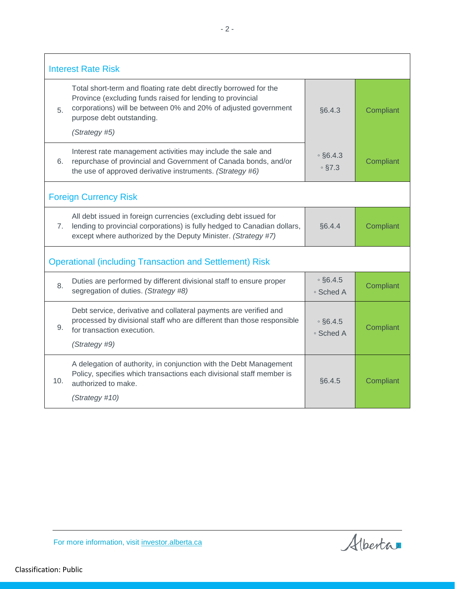|     | <b>Interest Rate Risk</b>                                                                                                                                                                                                                 |                                  |           |
|-----|-------------------------------------------------------------------------------------------------------------------------------------------------------------------------------------------------------------------------------------------|----------------------------------|-----------|
| 5.  | Total short-term and floating rate debt directly borrowed for the<br>Province (excluding funds raised for lending to provincial<br>corporations) will be between 0% and 20% of adjusted government<br>§6.4.3<br>purpose debt outstanding. |                                  | Compliant |
|     | (Strategy #5)                                                                                                                                                                                                                             |                                  |           |
| 6.  | Interest rate management activities may include the sale and<br>repurchase of provincial and Government of Canada bonds, and/or<br>the use of approved derivative instruments. (Strategy #6)                                              | $\degree$ §6.4.3<br>$\circ$ §7.3 | Compliant |
|     | <b>Foreign Currency Risk</b>                                                                                                                                                                                                              |                                  |           |
| 7.  | All debt issued in foreign currencies (excluding debt issued for<br>lending to provincial corporations) is fully hedged to Canadian dollars,<br>except where authorized by the Deputy Minister. (Strategy #7)                             | §6.4.4                           | Compliant |
|     | <b>Operational (including Transaction and Settlement) Risk</b>                                                                                                                                                                            |                                  |           |
| 8.  | Duties are performed by different divisional staff to ensure proper<br>segregation of duties. (Strategy #8)                                                                                                                               | $\circ$ §6.4.5<br>∘ Sched A      | Compliant |
| 9.  | Debt service, derivative and collateral payments are verified and<br>processed by divisional staff who are different than those responsible<br>for transaction execution.<br>(Strategy #9)                                                | $\circ$ §6.4.5<br>∘ Sched A      | Compliant |
| 10. | A delegation of authority, in conjunction with the Debt Management<br>Policy, specifies which transactions each divisional staff member is<br>authorized to make.<br>(Strategy #10)                                                       | §6.4.5                           | Compliant |

Alberta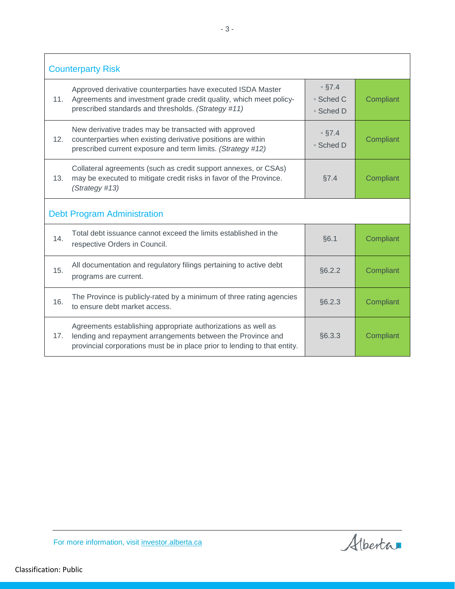|     | <b>Counterparty Risk</b>                                                                                                                                                                                  |                                        |           |
|-----|-----------------------------------------------------------------------------------------------------------------------------------------------------------------------------------------------------------|----------------------------------------|-----------|
| 11. | Approved derivative counterparties have executed ISDA Master<br>Agreements and investment grade credit quality, which meet policy-<br>prescribed standards and thresholds. (Strategy #11)                 | $\circ$ §7.4<br>∘ Sched C<br>∘ Sched D | Compliant |
| 12. | New derivative trades may be transacted with approved<br>counterparties when existing derivative positions are within<br>prescribed current exposure and term limits. (Strategy #12)                      | $\circ$ §7.4<br>∘ Sched D              | Compliant |
| 13. | Collateral agreements (such as credit support annexes, or CSAs)<br>may be executed to mitigate credit risks in favor of the Province.<br>(Strategy #13)                                                   | §7.4                                   | Compliant |
|     | <b>Debt Program Administration</b>                                                                                                                                                                        |                                        |           |
| 14. | Total debt issuance cannot exceed the limits established in the<br>respective Orders in Council.                                                                                                          | §6.1                                   | Compliant |
| 15. | All documentation and regulatory filings pertaining to active debt<br>programs are current.                                                                                                               | §6.2.2                                 | Compliant |
| 16. | The Province is publicly-rated by a minimum of three rating agencies<br>to ensure debt market access.                                                                                                     | §6.2.3                                 | Compliant |
| 17. | Agreements establishing appropriate authorizations as well as<br>lending and repayment arrangements between the Province and<br>provincial corporations must be in place prior to lending to that entity. | §6.3.3                                 | Compliant |

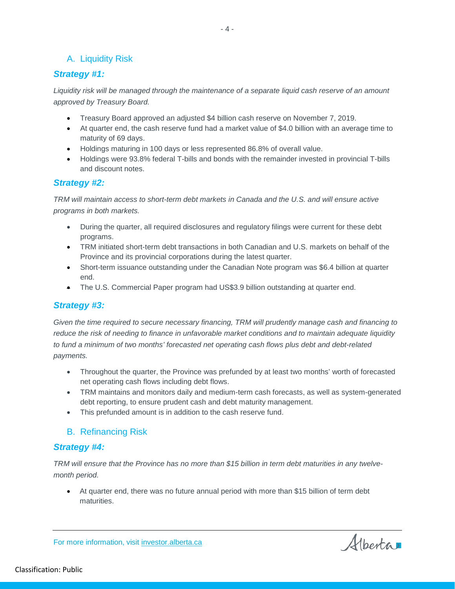#### A. Liquidity Risk

#### *Strategy #1:*

Liquidity risk will be managed through the maintenance of a separate liquid cash reserve of an amount *approved by Treasury Board.* 

- Treasury Board approved an adjusted \$4 billion cash reserve on November 7, 2019.
- At quarter end, the cash reserve fund had a market value of \$4.0 billion with an average time to maturity of 69 days.
- Holdings maturing in 100 days or less represented 86.8% of overall value.
- Holdings were 93.8% federal T-bills and bonds with the remainder invested in provincial T-bills and discount notes.

#### *Strategy #2:*

*TRM will maintain access to short-term debt markets in Canada and the U.S. and will ensure active programs in both markets.*

- During the quarter, all required disclosures and regulatory filings were current for these debt programs.
- TRM initiated short-term debt transactions in both Canadian and U.S. markets on behalf of the Province and its provincial corporations during the latest quarter.
- Short-term issuance outstanding under the Canadian Note program was \$6.4 billion at quarter end.
- The U.S. Commercial Paper program had US\$3.9 billion outstanding at quarter end.

#### *Strategy #3:*

*Given the time required to secure necessary financing, TRM will prudently manage cash and financing to reduce the risk of needing to finance in unfavorable market conditions and to maintain adequate liquidity to fund a minimum of two months' forecasted net operating cash flows plus debt and debt-related payments.*

- Throughout the quarter, the Province was prefunded by at least two months' worth of forecasted net operating cash flows including debt flows.
- TRM maintains and monitors daily and medium-term cash forecasts, as well as system-generated debt reporting, to ensure prudent cash and debt maturity management.
- This prefunded amount is in addition to the cash reserve fund.

#### B. Refinancing Risk

#### *Strategy #4:*

*TRM will ensure that the Province has no more than \$15 billion in term debt maturities in any twelvemonth period.*

• At quarter end, there was no future annual period with more than \$15 billion of term debt maturities.

For more information, visit [investor.alberta.ca](http://investor.alberta.ca/)

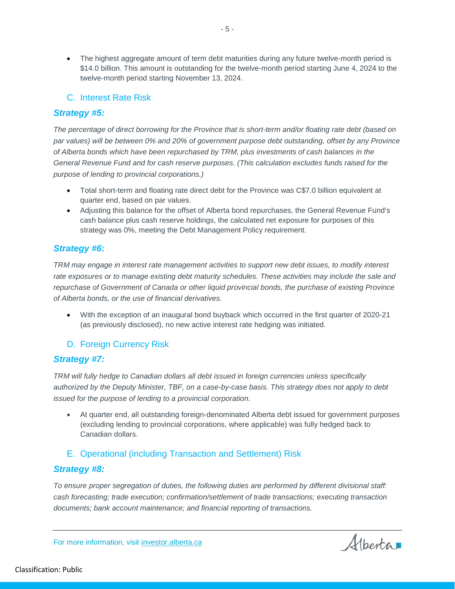• The highest aggregate amount of term debt maturities during any future twelve-month period is \$14.0 billion. This amount is outstanding for the twelve-month period starting June 4, 2024 to the twelve-month period starting November 13, 2024.

#### C. Interest Rate Risk

#### *Strategy #5:*

*The percentage of direct borrowing for the Province that is short-term and/or floating rate debt (based on par values) will be between 0% and 20% of government purpose debt outstanding, offset by any Province of Alberta bonds which have been repurchased by TRM, plus investments of cash balances in the General Revenue Fund and for cash reserve purposes. (This calculation excludes funds raised for the purpose of lending to provincial corporations.)*

- Total short-term and floating rate direct debt for the Province was C\$7.0 billion equivalent at quarter end, based on par values.
- Adjusting this balance for the offset of Alberta bond repurchases, the General Revenue Fund's cash balance plus cash reserve holdings, the calculated net exposure for purposes of this strategy was 0%, meeting the Debt Management Policy requirement.

#### *Strategy #6***:**

*TRM may engage in interest rate management activities to support new debt issues, to modify interest rate exposures or to manage existing debt maturity schedules. These activities may include the sale and repurchase of Government of Canada or other liquid provincial bonds, the purchase of existing Province of Alberta bonds, or the use of financial derivatives.*

• With the exception of an inaugural bond buyback which occurred in the first quarter of 2020-21 (as previously disclosed), no new active interest rate hedging was initiated.

#### D. Foreign Currency Risk

#### *Strategy #7:*

*TRM will fully hedge to Canadian dollars all debt issued in foreign currencies unless specifically authorized by the Deputy Minister, TBF, on a case-by-case basis. This strategy does not apply to debt issued for the purpose of lending to a provincial corporation.*

• At quarter end, all outstanding foreign-denominated Alberta debt issued for government purposes (excluding lending to provincial corporations, where applicable) was fully hedged back to Canadian dollars.

#### E. Operational (including Transaction and Settlement) Risk

#### *Strategy #8:*

*To ensure proper segregation of duties, the following duties are performed by different divisional staff: cash forecasting; trade execution; confirmation/settlement of trade transactions; executing transaction documents; bank account maintenance; and financial reporting of transactions.*

Albertan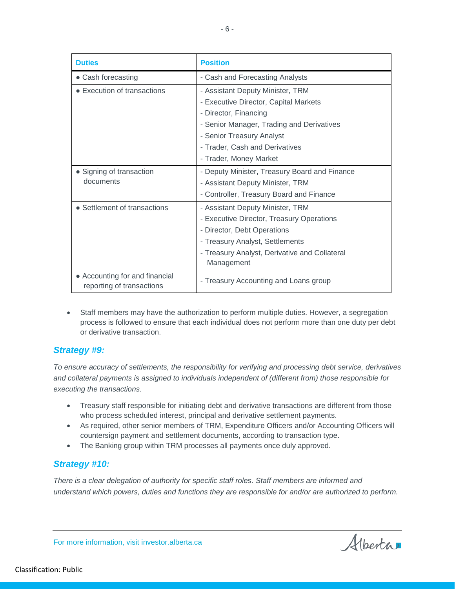| <b>Duties</b>                                               | <b>Position</b>                                             |
|-------------------------------------------------------------|-------------------------------------------------------------|
| • Cash forecasting                                          | - Cash and Forecasting Analysts                             |
| • Execution of transactions                                 | - Assistant Deputy Minister, TRM                            |
|                                                             | - Executive Director, Capital Markets                       |
|                                                             | - Director, Financing                                       |
|                                                             | - Senior Manager, Trading and Derivatives                   |
|                                                             | - Senior Treasury Analyst                                   |
|                                                             | - Trader, Cash and Derivatives                              |
|                                                             | - Trader, Money Market                                      |
| • Signing of transaction                                    | - Deputy Minister, Treasury Board and Finance               |
| documents                                                   | - Assistant Deputy Minister, TRM                            |
|                                                             | - Controller, Treasury Board and Finance                    |
| • Settlement of transactions                                | - Assistant Deputy Minister, TRM                            |
|                                                             | - Executive Director, Treasury Operations                   |
|                                                             | - Director, Debt Operations                                 |
|                                                             | - Treasury Analyst, Settlements                             |
|                                                             | - Treasury Analyst, Derivative and Collateral<br>Management |
| • Accounting for and financial<br>reporting of transactions | - Treasury Accounting and Loans group                       |

• Staff members may have the authorization to perform multiple duties. However, a segregation process is followed to ensure that each individual does not perform more than one duty per debt or derivative transaction.

#### *Strategy #9:*

*To ensure accuracy of settlements, the responsibility for verifying and processing debt service, derivatives and collateral payments is assigned to individuals independent of (different from) those responsible for executing the transactions.*

- Treasury staff responsible for initiating debt and derivative transactions are different from those who process scheduled interest, principal and derivative settlement payments.
- As required, other senior members of TRM, Expenditure Officers and/or Accounting Officers will countersign payment and settlement documents, according to transaction type.
- The Banking group within TRM processes all payments once duly approved.

#### *Strategy #10:*

*There is a clear delegation of authority for specific staff roles. Staff members are informed and understand which powers, duties and functions they are responsible for and/or are authorized to perform.* 

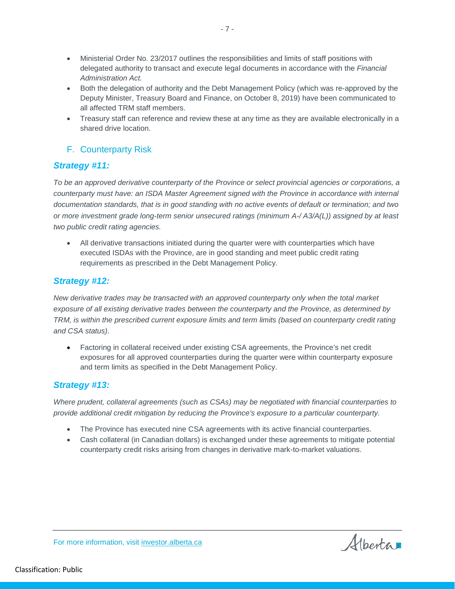• Ministerial Order No. 23/2017 outlines the responsibilities and limits of staff positions with delegated authority to transact and execute legal documents in accordance with the *Financial Administration Act.*

- 7 -

- Both the delegation of authority and the Debt Management Policy (which was re-approved by the Deputy Minister, Treasury Board and Finance, on October 8, 2019) have been communicated to all affected TRM staff members.
- Treasury staff can reference and review these at any time as they are available electronically in a shared drive location.

## F. Counterparty Risk

#### *Strategy #11:*

*To be an approved derivative counterparty of the Province or select provincial agencies or corporations, a counterparty must have: an ISDA Master Agreement signed with the Province in accordance with internal documentation standards, that is in good standing with no active events of default or termination; and two or more investment grade long-term senior unsecured ratings (minimum A-/ A3/A(L)) assigned by at least two public credit rating agencies.*

• All derivative transactions initiated during the quarter were with counterparties which have executed ISDAs with the Province, are in good standing and meet public credit rating requirements as prescribed in the Debt Management Policy.

#### *Strategy #12:*

*New derivative trades may be transacted with an approved counterparty only when the total market exposure of all existing derivative trades between the counterparty and the Province, as determined by TRM, is within the prescribed current exposure limits and term limits (based on counterparty credit rating and CSA status).*

• Factoring in collateral received under existing CSA agreements, the Province's net credit exposures for all approved counterparties during the quarter were within counterparty exposure and term limits as specified in the Debt Management Policy.

#### *Strategy #13:*

For more information, visit [investor.alberta.ca](http://investor.alberta.ca/)

*Where prudent, collateral agreements (such as CSAs) may be negotiated with financial counterparties to provide additional credit mitigation by reducing the Province's exposure to a particular counterparty.*

- The Province has executed nine CSA agreements with its active financial counterparties.
- Cash collateral (in Canadian dollars) is exchanged under these agreements to mitigate potential counterparty credit risks arising from changes in derivative mark-to-market valuations.

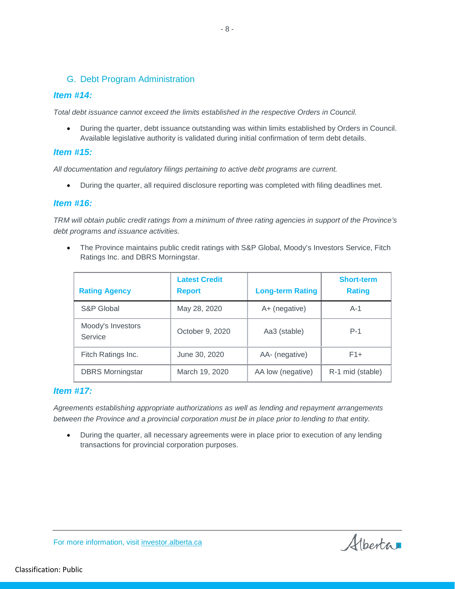#### G. Debt Program Administration

#### *Item #14:*

*Total debt issuance cannot exceed the limits established in the respective Orders in Council.* 

• During the quarter, debt issuance outstanding was within limits established by Orders in Council. Available legislative authority is validated during initial confirmation of term debt details.

#### *Item #15:*

*All documentation and regulatory filings pertaining to active debt programs are current.*

• During the quarter, all required disclosure reporting was completed with filing deadlines met.

#### *Item #16:*

*TRM will obtain public credit ratings from a minimum of three rating agencies in support of the Province's debt programs and issuance activities.*

• The Province maintains public credit ratings with S&P Global, Moody's Investors Service, Fitch Ratings Inc. and DBRS Morningstar.

| <b>Rating Agency</b>         | <b>Latest Credit</b><br><b>Report</b> | <b>Long-term Rating</b> | <b>Short-term</b><br><b>Rating</b> |
|------------------------------|---------------------------------------|-------------------------|------------------------------------|
| S&P Global                   | May 28, 2020                          | A+ (negative)           | $A-1$                              |
| Moody's Investors<br>Service | October 9, 2020                       | Aa3 (stable)            | $P-1$                              |
| Fitch Ratings Inc.           | June 30, 2020                         | AA- (negative)          | $F1+$                              |
| <b>DBRS</b> Morningstar      | March 19, 2020                        | AA low (negative)       | R-1 mid (stable)                   |

#### *Item #17:*

*Agreements establishing appropriate authorizations as well as lending and repayment arrangements between the Province and a provincial corporation must be in place prior to lending to that entity.*

• During the quarter, all necessary agreements were in place prior to execution of any lending transactions for provincial corporation purposes.

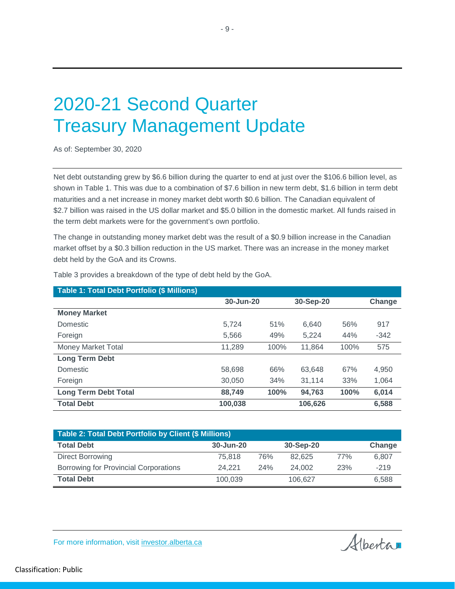## 2020-21 Second Quarter Treasury Management Update

As of: September 30, 2020

Net debt outstanding grew by \$6.6 billion during the quarter to end at just over the \$106.6 billion level, as shown in Table 1. This was due to a combination of \$7.6 billion in new term debt, \$1.6 billion in term debt maturities and a net increase in money market debt worth \$0.6 billion. The Canadian equivalent of \$2.7 billion was raised in the US dollar market and \$5.0 billion in the domestic market. All funds raised in the term debt markets were for the government's own portfolio.

The change in outstanding money market debt was the result of a \$0.9 billion increase in the Canadian market offset by a \$0.3 billion reduction in the US market. There was an increase in the money market debt held by the GoA and its Crowns.

| Table 1: Total Debt Portfolio (\$ Millions) |           |      |           |      |        |
|---------------------------------------------|-----------|------|-----------|------|--------|
|                                             | 30-Jun-20 |      | 30-Sep-20 |      | Change |
| <b>Money Market</b>                         |           |      |           |      |        |
| Domestic                                    | 5.724     | 51%  | 6.640     | 56%  | 917    |
| Foreign                                     | 5,566     | 49%  | 5,224     | 44%  | $-342$ |
| Money Market Total                          | 11.289    | 100% | 11.864    | 100% | 575    |
| <b>Long Term Debt</b>                       |           |      |           |      |        |
| <b>Domestic</b>                             | 58.698    | 66%  | 63,648    | 67%  | 4,950  |
| Foreign                                     | 30,050    | 34%  | 31.114    | 33%  | 1,064  |
| <b>Long Term Debt Total</b>                 | 88,749    | 100% | 94.763    | 100% | 6,014  |
| <b>Total Debt</b>                           | 100,038   |      | 106,626   |      | 6,588  |

Table 3 provides a breakdown of the type of debt held by the GoA.

| Table 2: Total Debt Portfolio by Client (\$ Millions) |           |     |           |     |        |  |  |
|-------------------------------------------------------|-----------|-----|-----------|-----|--------|--|--|
| <b>Total Debt</b>                                     | 30-Jun-20 |     | 30-Sep-20 |     | Change |  |  |
| Direct Borrowing                                      | 75.818    | 76% | 82.625    | 77% | 6.807  |  |  |
| Borrowing for Provincial Corporations                 | 24.221    | 24% | 24.002    | 23% | $-219$ |  |  |
| <b>Total Debt</b>                                     | 100.039   |     | 106.627   |     | 6.588  |  |  |

- 9 -

For more information, visit [investor.alberta.ca](http://investor.alberta.ca/)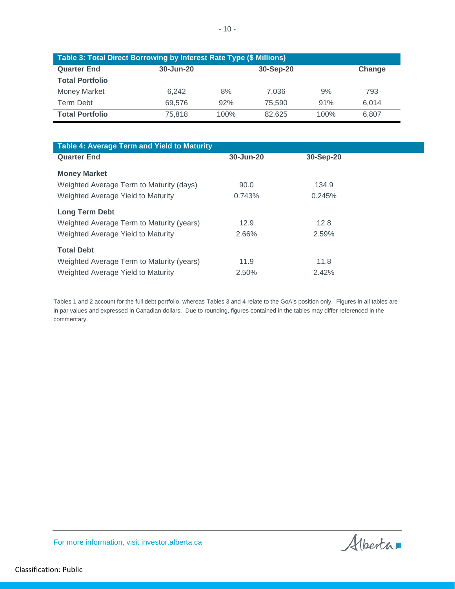| Table 3: Total Direct Borrowing by Interest Rate Type (\$ Millions) |           |                     |        |      |       |  |  |
|---------------------------------------------------------------------|-----------|---------------------|--------|------|-------|--|--|
| <b>Quarter End</b>                                                  | 30-Jun-20 | 30-Sep-20<br>Change |        |      |       |  |  |
| <b>Total Portfolio</b>                                              |           |                     |        |      |       |  |  |
| <b>Money Market</b>                                                 | 6.242     | 8%                  | 7.036  | 9%   | 793   |  |  |
| <b>Term Debt</b>                                                    | 69.576    | 92%                 | 75.590 | 91%  | 6.014 |  |  |
| <b>Total Portfolio</b>                                              | 75.818    | 100%                | 82.625 | 100% | 6,807 |  |  |

| Table 4: Average Term and Yield to Maturity |           |           |  |
|---------------------------------------------|-----------|-----------|--|
| <b>Quarter End</b>                          | 30-Jun-20 | 30-Sep-20 |  |
| <b>Money Market</b>                         |           |           |  |
| Weighted Average Term to Maturity (days)    | 90.0      | 134.9     |  |
| Weighted Average Yield to Maturity          | 0.743%    | 0.245%    |  |
| <b>Long Term Debt</b>                       |           |           |  |
| Weighted Average Term to Maturity (years)   | 12.9      | 12.8      |  |
| Weighted Average Yield to Maturity          | 2.66%     | 2.59%     |  |
| <b>Total Debt</b>                           |           |           |  |
| Weighted Average Term to Maturity (years)   | 11.9      | 11.8      |  |
| Weighted Average Yield to Maturity          | 2.50%     | 2.42%     |  |

Tables 1 and 2 account for the full debt portfolio, whereas Tables 3 and 4 relate to the GoA's position only. Figures in all tables are in par values and expressed in Canadian dollars. Due to rounding, figures contained in the tables may differ referenced in the commentary.

Alberta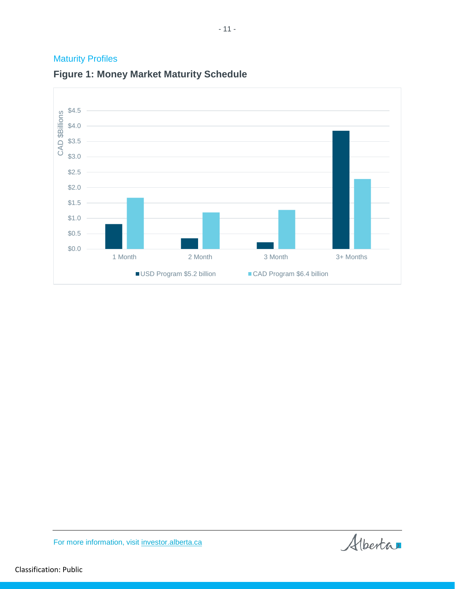## **Maturity Profiles**



## **Figure 1: Money Market Maturity Schedule**

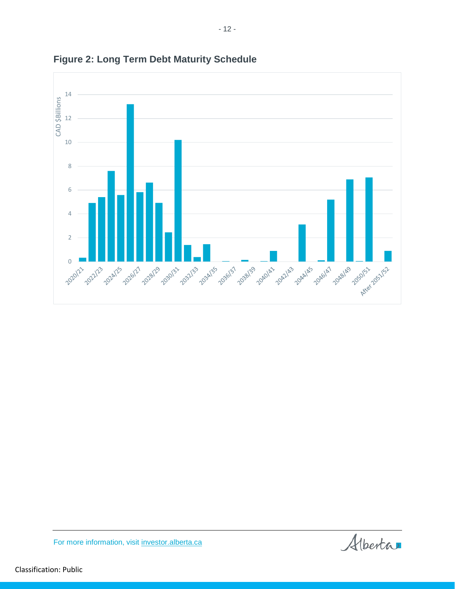

**Figure 2: Long Term Debt Maturity Schedule**

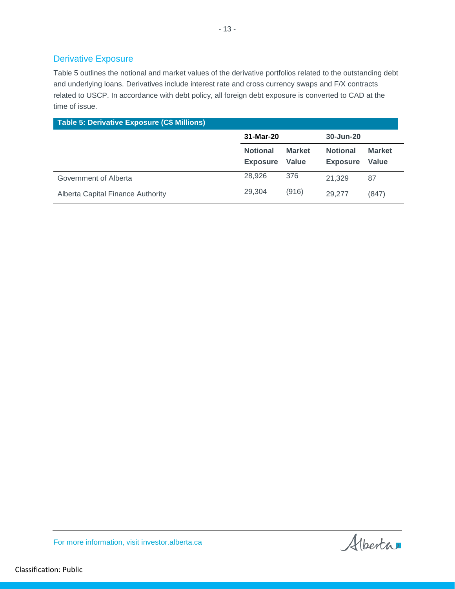#### Derivative Exposure

Table 5 outlines the notional and market values of the derivative portfolios related to the outstanding debt and underlying loans. Derivatives include interest rate and cross currency swaps and F/X contracts related to USCP. In accordance with debt policy, all foreign debt exposure is converted to CAD at the time of issue.

| <b>Table 5: Derivative Exposure (C\$ Millions)</b> |                                    |                               |                                    |                        |  |  |
|----------------------------------------------------|------------------------------------|-------------------------------|------------------------------------|------------------------|--|--|
|                                                    | 31-Mar-20                          |                               | 30-Jun-20                          |                        |  |  |
|                                                    | <b>Notional</b><br><b>Exposure</b> | <b>Market</b><br><b>Value</b> | <b>Notional</b><br><b>Exposure</b> | <b>Market</b><br>Value |  |  |
| Government of Alberta                              | 28,926                             | 376                           | 21,329                             | 87                     |  |  |
| Alberta Capital Finance Authority                  | 29.304                             | (916)                         | 29,277                             | (847)                  |  |  |

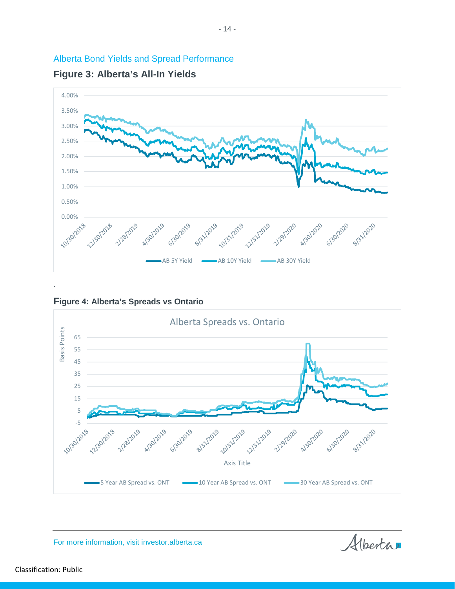





**Figure 4: Alberta's Spreads vs Ontario**



Alberta

For more information, visit [investor.alberta.ca](http://investor.alberta.ca/)

Classification: Public

.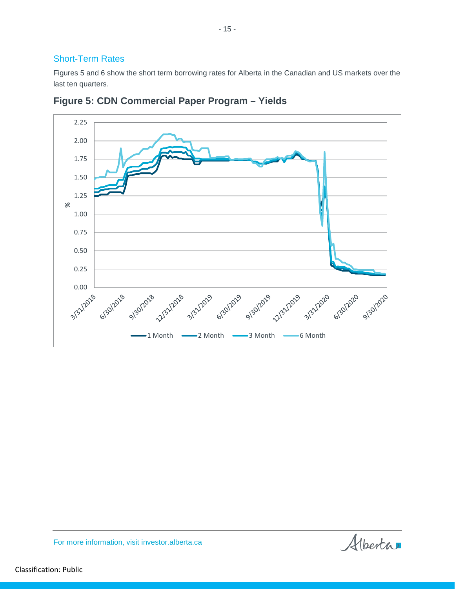#### Short-Term Rates

Figures 5 and 6 show the short term borrowing rates for Alberta in the Canadian and US markets over the last ten quarters.

- 15 -



**Figure 5: CDN Commercial Paper Program – Yields**

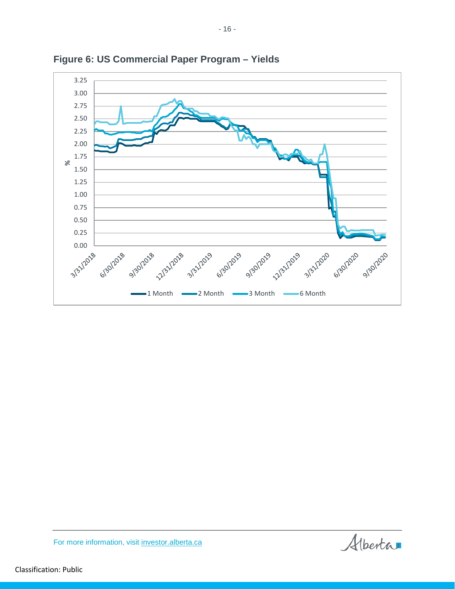

**Figure 6: US Commercial Paper Program – Yields**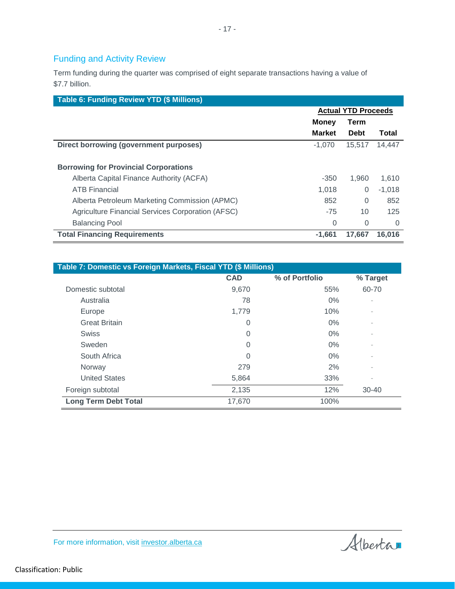## Funding and Activity Review

Term funding during the quarter was comprised of eight separate transactions having a value of \$7.7 billion.

| Table 6: Funding Review YTD (\$ Millions)         |                            |             |          |
|---------------------------------------------------|----------------------------|-------------|----------|
|                                                   | <b>Actual YTD Proceeds</b> |             |          |
|                                                   | Money                      | Term        |          |
|                                                   | <b>Market</b>              | <b>Debt</b> | Total    |
| Direct borrowing (government purposes)            | $-1,070$                   | 15,517      | 14.447   |
| <b>Borrowing for Provincial Corporations</b>      |                            |             |          |
| Alberta Capital Finance Authority (ACFA)          | $-350$                     | 1.960       | 1.610    |
| <b>ATB Financial</b>                              | 1.018                      | 0           | $-1,018$ |
| Alberta Petroleum Marketing Commission (APMC)     | 852                        | $\Omega$    | 852      |
| Agriculture Financial Services Corporation (AFSC) | $-75$                      | 10          | 125      |
| <b>Balancing Pool</b>                             | $\Omega$                   | 0           | 0        |
| <b>Total Financing Requirements</b>               | $-1.661$                   | 17.667      | 16,016   |

| Table 7: Domestic vs Foreign Markets, Fiscal YTD (\$ Millions) |            |                |           |  |  |
|----------------------------------------------------------------|------------|----------------|-----------|--|--|
|                                                                | <b>CAD</b> | % of Portfolio | % Target  |  |  |
| Domestic subtotal                                              | 9,670      | 55%            | 60-70     |  |  |
| Australia                                                      | 78         | $0\%$          |           |  |  |
| Europe                                                         | 1,779      | 10%            |           |  |  |
| <b>Great Britain</b>                                           | 0          | 0%             |           |  |  |
| <b>Swiss</b>                                                   | 0          | $0\%$          |           |  |  |
| Sweden                                                         | 0          | $0\%$          |           |  |  |
| South Africa                                                   | 0          | $0\%$          |           |  |  |
| Norway                                                         | 279        | 2%             |           |  |  |
| <b>United States</b>                                           | 5,864      | 33%            |           |  |  |
| Foreign subtotal                                               | 2,135      | 12%            | $30 - 40$ |  |  |
| <b>Long Term Debt Total</b>                                    | 17,670     | 100%           |           |  |  |

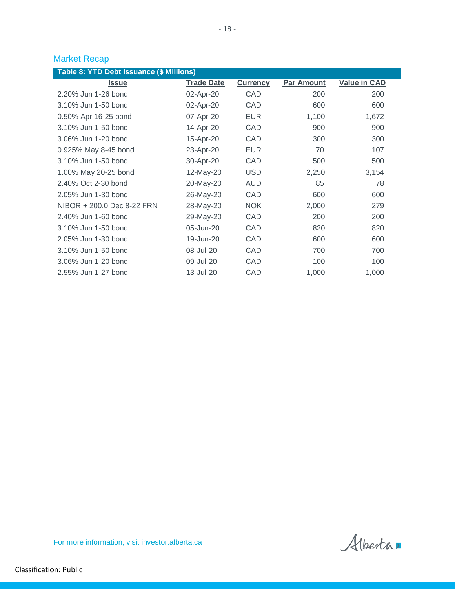## Market Recap

| Table 8: YTD Debt Issuance (\$ Millions) |                   |                 |            |                     |  |  |  |  |
|------------------------------------------|-------------------|-----------------|------------|---------------------|--|--|--|--|
| <b>Issue</b>                             | <b>Trade Date</b> | <b>Currency</b> | Par Amount | <b>Value in CAD</b> |  |  |  |  |
| 2.20% Jun 1-26 bond                      | 02-Apr-20         | CAD             | 200        | 200                 |  |  |  |  |
| 3.10% Jun 1-50 bond                      | 02-Apr-20         | CAD             | 600        | 600                 |  |  |  |  |
| 0.50% Apr 16-25 bond                     | 07-Apr-20         | <b>EUR</b>      | 1,100      | 1,672               |  |  |  |  |
| 3.10% Jun 1-50 bond                      | 14-Apr-20         | CAD             | 900        | 900                 |  |  |  |  |
| 3.06% Jun 1-20 bond                      | 15-Apr-20         | CAD             | 300        | 300                 |  |  |  |  |
| 0.925% May 8-45 bond                     | 23-Apr-20         | <b>EUR</b>      | 70         | 107                 |  |  |  |  |
| 3.10% Jun 1-50 bond                      | 30-Apr-20         | CAD             | 500        | 500                 |  |  |  |  |
| 1.00% May 20-25 bond                     | 12-May-20         | <b>USD</b>      | 2,250      | 3,154               |  |  |  |  |
| 2.40% Oct 2-30 bond                      | 20-May-20         | AUD             | 85         | 78                  |  |  |  |  |
| 2.05% Jun 1-30 bond                      | 26-May-20         | CAD             | 600        | 600                 |  |  |  |  |
| NIBOR + 200.0 Dec 8-22 FRN               | 28-May-20         | <b>NOK</b>      | 2,000      | 279                 |  |  |  |  |
| 2.40% Jun 1-60 bond                      | 29-May-20         | CAD             | 200        | 200                 |  |  |  |  |
| 3.10% Jun 1-50 bond                      | 05-Jun-20         | CAD             | 820        | 820                 |  |  |  |  |
| 2.05% Jun 1-30 bond                      | 19-Jun-20         | CAD             | 600        | 600                 |  |  |  |  |
| 3.10% Jun 1-50 bond                      | 08-Jul-20         | CAD             | 700        | 700                 |  |  |  |  |
| 3.06% Jun 1-20 bond                      | 09-Jul-20         | CAD             | 100        | 100                 |  |  |  |  |
| 2.55% Jun 1-27 bond                      | 13-Jul-20         | CAD             | 1,000      | 1,000               |  |  |  |  |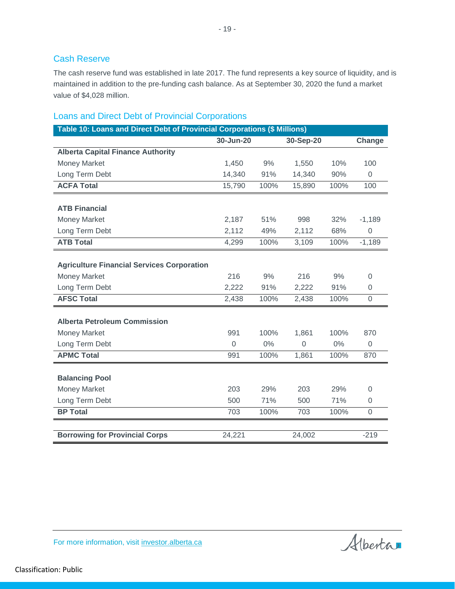#### Cash Reserve

The cash reserve fund was established in late 2017. The fund represents a key source of liquidity, and is maintained in addition to the pre-funding cash balance. As at September 30, 2020 the fund a market value of \$4,028 million.

#### Loans and Direct Debt of Provincial Corporations

| Table 10: Loans and Direct Debt of Provincial Corporations (\$ Millions) |                |       |                |       |                |
|--------------------------------------------------------------------------|----------------|-------|----------------|-------|----------------|
|                                                                          | 30-Jun-20      |       | 30-Sep-20      |       | Change         |
| <b>Alberta Capital Finance Authority</b>                                 |                |       |                |       |                |
| Money Market                                                             | 1,450          | 9%    | 1,550          | 10%   | 100            |
| Long Term Debt                                                           | 14,340         | 91%   | 14,340         | 90%   | $\overline{0}$ |
| <b>ACFA Total</b>                                                        | 15,790         | 100%  | 15,890         | 100%  | 100            |
|                                                                          |                |       |                |       |                |
| <b>ATB Financial</b>                                                     |                |       |                |       |                |
| <b>Money Market</b>                                                      | 2,187          | 51%   | 998            | 32%   | $-1,189$       |
| Long Term Debt                                                           | 2,112          | 49%   | 2,112          | 68%   | $\Omega$       |
| <b>ATB Total</b>                                                         | 4,299          | 100%  | 3,109          | 100%  | $-1,189$       |
| <b>Agriculture Financial Services Corporation</b>                        |                |       |                |       |                |
| <b>Money Market</b>                                                      | 216            | 9%    | 216            | 9%    | $\Omega$       |
| Long Term Debt                                                           | 2,222          | 91%   | 2,222          | 91%   | 0              |
| <b>AFSC Total</b>                                                        | 2,438          | 100%  | 2,438          | 100%  | 0              |
|                                                                          |                |       |                |       |                |
| <b>Alberta Petroleum Commission</b>                                      |                |       |                |       |                |
| <b>Money Market</b>                                                      | 991            | 100%  | 1,861          | 100%  | 870            |
| Long Term Debt                                                           | $\overline{0}$ | $0\%$ | $\overline{0}$ | $0\%$ | $\overline{0}$ |
| <b>APMC Total</b>                                                        | 991            | 100%  | 1,861          | 100%  | 870            |
|                                                                          |                |       |                |       |                |
| <b>Balancing Pool</b>                                                    |                |       |                |       |                |
| <b>Money Market</b>                                                      | 203            | 29%   | 203            | 29%   | $\Omega$       |
| Long Term Debt                                                           | 500            | 71%   | 500            | 71%   | 0              |
| <b>BP Total</b>                                                          | 703            | 100%  | 703            | 100%  | $\mathbf 0$    |
|                                                                          |                |       |                |       |                |
| <b>Borrowing for Provincial Corps</b>                                    | 24,221         |       | 24,002         |       | $-219$         |



Classification: Public